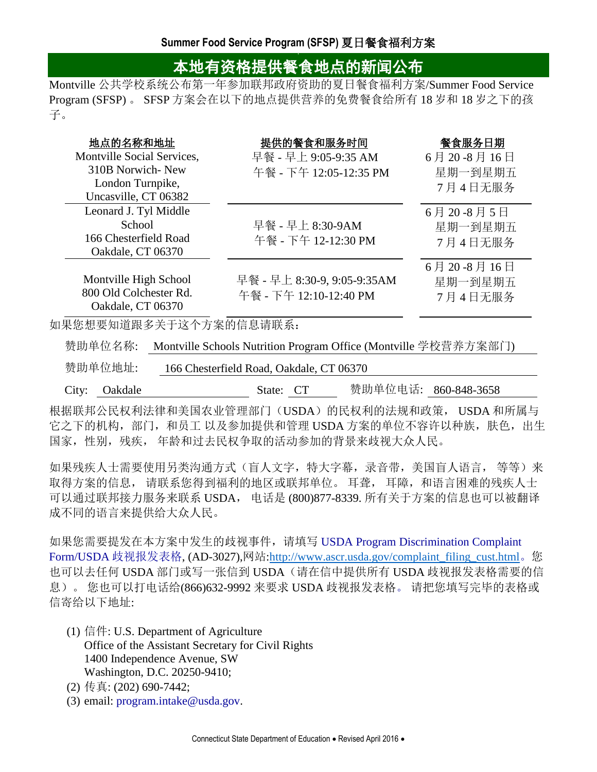## 本地有资格提供餐食地点的新闻公布

Montville 公共学校系统公布第一年参加联邦政府资助的夏日餐食福利方案/Summer Food Service Program (SFSP) 。 SFSP 方案会在以下的地点提供营养的免费餐食给所有 18 岁和 18 岁之下的孩 子。

| 地点的名称和地址                   | 提供的餐食和服务时间                  | 餐食服务日期     |
|----------------------------|-----------------------------|------------|
| Montville Social Services, | 早餐 - 早上 9:05-9:35 AM        | 6月20-8月16日 |
| 310B Norwich-New           | 午餐 - 下午 12:05-12:35 PM      | 星期一到星期五    |
| London Turnpike,           |                             | 7月4日无服务    |
| Uncasville, CT 06382       |                             |            |
| Leonard J. Tyl Middle      |                             | 6月20-8月5日  |
| School                     | 早餐 - 早上 8:30-9AM            | 星期一到星期五    |
| 166 Chesterfield Road      | 午餐 - 下午 12-12:30 PM         | 7月4日无服务    |
| Oakdale, CT 06370          |                             |            |
|                            |                             | 6月20-8月16日 |
| Montville High School      | 早餐 - 早上 8:30-9, 9:05-9:35AM | 星期一到星期五    |
| 800 Old Colchester Rd.     | 午餐 - 下午 12:10-12:40 PM      | 7月4日无服务    |
| Oakdale, CT 06370          |                             |            |

如果您想要知道跟多关于这个方案的信息请联系:

赞助单位名称: Montville Schools Nutrition Program Office (Montville 学校营养方案部门)

赞助单位地址: 166 Chesterfield Road, Oakdale, CT 06370

City: Oakdale State: CT 赞助单位电话: 860-848-3658

根据联邦公民权利法律和美国农业管理部门(USDA)的民权利的法规和政策, USDA 和所属与 它之下的机构,部门,和员工 以及参加提供和管理 USDA 方案的单位不容许以种族,肤色,出生 国家,性别,残疾, 年龄和过去民权争取的活动参加的背景来歧视大众人民。

如果残疾人士需要使用另类沟通方式(盲人文字,特大字幕,录音带,美国盲人语言,等等)来 取得方案的信息, 请联系您得到福利的地区或联邦单位。耳聋, 耳障, 和语言困难的残疾人士 可以通过联邦接力服务来联系 USDA, 电话是 (800)877-8339. 所有关于方案的信息也可以被翻译 成不同的语言来提供给大众人民。

如果您需要提发在本方案中发生的歧视事件,请填写 [USDA Program Discrimination Complaint](http://www.ocio.usda.gov/sites/default/files/docs/2012/Complain_combined_6_8_12.pdf)  [Form/](http://www.ocio.usda.gov/sites/default/files/docs/2012/Complain_combined_6_8_12.pdf)USDA 歧视报发表格, (AD-3027),网站[:http://www.ascr.usda.gov/complaint\\_filing\\_cust.html](http://www.ascr.usda.gov/complaint_filing_cust.html)。您 也可以去任何 USDA 部门或写一张信到 USDA (请在信中提供所有 USDA 歧视报发表格需要的信 息)。 您也可以打电话给(866)632-9992 来要求 USDA 歧视报发表格。 请把您填写完毕的表格或 信寄给以下地址:

- (1) 信件: U.S. Department of Agriculture Office of the Assistant Secretary for Civil Rights 1400 Independence Avenue, SW Washington, D.C. 20250-9410;
- (2) 传真: (202) 690-7442;
- (3) email: [program.intake@usda.gov.](mailto:program.intake@usda.gov)